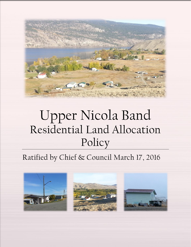

# Upper Nicola Band Residential Land Allocation Policy

# Ratified by Chief & Council March 17, 2016

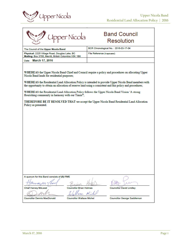



### **Band Council** Resolution

| The Council of the Upper Nicola Band                                                                                     | BCR Chronological No.: 2016-03-17-04                                                                                                                                                                                                                                                                                                                                                                                                                                                                                    |
|--------------------------------------------------------------------------------------------------------------------------|-------------------------------------------------------------------------------------------------------------------------------------------------------------------------------------------------------------------------------------------------------------------------------------------------------------------------------------------------------------------------------------------------------------------------------------------------------------------------------------------------------------------------|
| Physical: 2225 Village Road, Douglas Lake, BC<br>Mailing: Box 3700, Merritt, British Columbia V0K 1B8                    | File Reference (#applcable):                                                                                                                                                                                                                                                                                                                                                                                                                                                                                            |
| Date: March 17, 2016                                                                                                     |                                                                                                                                                                                                                                                                                                                                                                                                                                                                                                                         |
| Nicola Band lands for residential purposes;<br>flourishing community in harmony with our Timix";<br>Policy as presented. | WHEREAS the Upper Nicola Band Chief and Council require a policy and procedures on allocating Upper<br>WHEREAS the Residential Land Allocation Policy is intended to provide Upper Nicola Band members with<br>the opportunity to obtain an allocation of reserve land using a consistent and fair policy and procedures;<br>WHEREAS the Residential Land Allocation Policy follows the Upper Nicola Band Vision 'A strong<br>THEREFORE BE IT RESOLVED THAT we accept the Upper Nicola Band Residential Land Allocation |
| A quorum for this Band consists of (5) FIVE                                                                              |                                                                                                                                                                                                                                                                                                                                                                                                                                                                                                                         |
|                                                                                                                          |                                                                                                                                                                                                                                                                                                                                                                                                                                                                                                                         |
| <b>Chief Harvey McLeod</b>                                                                                               | <b>Councillor Brian Holmes</b><br><b>Councillor David Lindley</b>                                                                                                                                                                                                                                                                                                                                                                                                                                                       |
|                                                                                                                          | are Miles                                                                                                                                                                                                                                                                                                                                                                                                                                                                                                               |

**Councillor Dennis MacDonald** 

**Councillor Wallace Michel** 

**Councillor George Saddleman**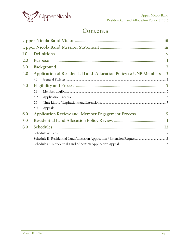

### Contents

| 1.0 |     |                                                                    |  |
|-----|-----|--------------------------------------------------------------------|--|
| 2.0 |     |                                                                    |  |
| 3.0 |     |                                                                    |  |
| 4.0 |     | Application of Residential Land Allocation Policy to UNB Members 3 |  |
|     | 4.1 |                                                                    |  |
| 5.0 |     |                                                                    |  |
|     | 5.1 |                                                                    |  |
|     | 5.2 |                                                                    |  |
|     | 5.3 |                                                                    |  |
|     | 5.4 |                                                                    |  |
| 6.0 |     |                                                                    |  |
| 7.0 |     |                                                                    |  |
| 8.0 |     |                                                                    |  |
|     |     |                                                                    |  |
|     |     |                                                                    |  |
|     |     |                                                                    |  |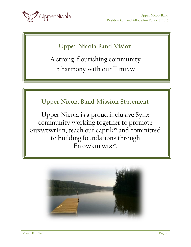<span id="page-3-0"></span>

# **Upper Nicola Band Vision**

A strong, flourishing community in harmony with our Timixw.

# **Upper Nicola Band Mission Statement**

<span id="page-3-1"></span>Upper Nicola is a proud inclusive Syilx community working together to promote SuxwtwtEm, teach our captik<sup>w</sup> and committed to building foundations through En'owkin'wixw.

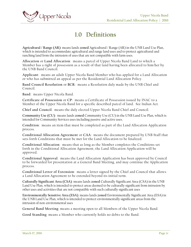<span id="page-4-0"></span>

## **1.0 Definitions**

**Agricultural / Range (AR)**: means lands **zoned** Agricultural / Range (AR) in the UNB Land Use Plan, which is intended to accommodate agricultural and range land uses and to protect agricultural and ranching land from the intrusion of uses that are not compatible with farm uses.

**Allocation** or **Land Allocation**: means a parcel of Upper Nicola Band Land to which a Member has a right of possession as a result of that land having been allocated to him/her by the UNB Band Council.

**Applicant**: means an adult Upper Nicola Band Member who has applied for a Land Allocation or who has submitted an appeal as per the Residential Land Allocation Policy.

**Band Council Resolution** or **BCR**: means a Resolution duly made by the UNB Chief and Council.

**Band**: means Upper Nicola Band.

**Certificate of Possession** or **CP**: means a Certificate of Possession issued by INAC to a Member of the Upper Nicola Band for a specific described parcel of land. See Indian Act.

**Chief and Council**: means the duly elected Upper Nicola Band Chief and Council.

**Community Use (CU)**: means lands **zoned** Community Use (CU) in the UNB Land Use Plan, which is intended for Community Services uses including passive and active uses.

**Condition**: means an item that must be completed as part of the Land Allocation Application process.

**Conditional Allocation Agreement** or **CAA**: means the document prepared by UNB Staff that sets forth Conditions that must be met for the Land Allocation to be finalized.

**Conditional Allocation**: means that as long as the Member completes the Conditions set forth in the Conditional Allocation Agreement, the Land Allocation Application will be approved.

**Conditional Approval**: means the Land Allocation Application has been approved by Council to be forwarded for presentation at a General Band Meeting, and may continue the Application process.

**Conditional Letter of Extension**: means a letter signed by the Chief and Council that allows a Land Allocation Agreement to be extended beyond its initial term.

**Culturally Significant Area (CSA)**: means lands **zoned** Culturally Significant Area (CSA) in the UNB Land Use Plan, which is intended to protect areas deemed to be culturally significant from intrusion by other uses and activities that are not compatible with such culturally significant uses

**Environmentally Sensitive Area (ESA)**: means lands **zoned** Environmentally Significant Area (ESA) in the UNB Land Use Plan, which is intended to protect environmentally significant areas from the intrusion of non-environmental uses

**General Band Meeting**: means a meeting open to all Members of the Upper Nicola Band.

**Good Standing**: means a Member who currently holds no debts to the Band.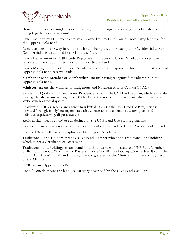

**Household**: means a single person, or a single- or multi-generational group of related people living together as a family unit

**Land Use Plan** or **LUP**: means a plan approved by Chief and Council addressing land use for the Upper Nicola Band.

**Land use**: means the way in which the land is being used, for example for Residential use or Commercial use, as defined in the Land use Plan.

**Lands Department** or **UNB Lands Department**: means the Upper Nicola Band department responsible for the administration of  $\overline{U}$ pper Nicola Band lands.

Lands Manager: means the Upper Nicola Band employee responsible for the administration of Upper Nicola Band reserve lands.

**Member** or **Band Member** or **Membership**: means having recognized Membership in the Upper Nicola Band.

**Minister**: means the Minister of Indigenous and Northern Affairs Canada (INAC).

**Residential 1 (R-1)**: means lands zoned Residential 1 (R-1) in the UNB Land Use Plan, which is intended for single family housing on large lots of 0.4 hectare (1.0 acres) or greater, with an individual well and septic sewage disposal system

**Residential 2 (R-2)**: means lands zoned Residential 2 (R-2) in the UNB Land Use Plan, which is intended for single family housing on lots with a connection to a community water system and an individual septic sewage disposal system

**Residential**: means a land use as defined by the UNB Land Use Plan regulations.

**Reversion**: means when a parcel of allocated land reverts back to Upper Nicola Band control.

**Staff** or **UNB Staff**: means employees of the Upper Nicola Band.

**Traditional Land Holder**: means a UNB Band Member who has a Traditional land holding, which is not a Certificate of Possession.

**Traditional land holding**: means band land that has been allocated to a UNB Band Member by BCR and is not a Certificate of Possession or a Certificate of Occupation as described in the Indian Act. A traditional land holding is not registered by the Minister and is not recognized by the Minister.

**UNB:** means Upper Nicola Band.

**Zone / Zoned**: means the land use category described by the UNB Land Use Plan.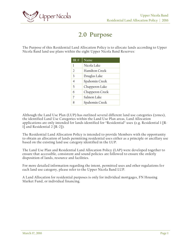<span id="page-6-0"></span>

### **2.0 Purpose**

The Purpose of this Residential Land Allocation Policy is to allocate lands according to Upper Nicola Band land use plans within the eight Upper Nicola Band Reserves:

| IR#            | $N$ ame         |
|----------------|-----------------|
| 1              | Nicola Lake     |
| $\overline{2}$ | Hamilton Creek  |
| 3              | Douglas Lake    |
| $\overline{4}$ | Spahomin Creek  |
| $\overline{5}$ | Chapperon Lake  |
| 6              | Chapperon Creek |
| 7              | Salmon Lake     |
| Ջ              | Spahomin Creek  |

Although the Land Use Plan (LUP) has outlined several different land use categories (zones), the identified Land Use Categories within the Land Use Plan areas, Land Allocation applications are only intended for lands identified for "Residential" uses (e.g. Residential 1 [R-1] and Residential 2 [R-2]).

The Residential Land Allocation Policy is intended to provide Members with the opportunity to obtain an allocation of lands permitting residential uses either as a principle or ancillary use based on the existing land use category identified in the LUP.

The Land Use Plan and Residential Land Allocation Policy (LAP) were developed together to ensure that accessible, consistent and sound policies are followed to ensure the orderly disposition of lands, resource and facilities.

For more detailed information regarding the intent, permitted uses and other regulations for each land use category, please refer to the Upper Nicola Band LUP.

A Land Allocation for residential purposes is only for individual mortgages, FN Housing Market Fund, or individual financing.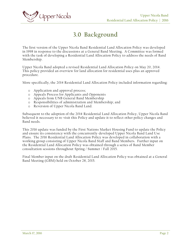<span id="page-7-0"></span>

# **3.0 Background**

The first version of the Upper Nicola Band Residential Land Allocation Policy was developed in 1998 in response to the discussions at a General Band Meeting. A Committee was formed with the task of developing a Residential Land Allocation Policy to address the needs of Band Membership.

Upper Nicola Band adopted a revised Residential Land Allocation Policy on May 20, 2014. This policy provided an overview for land allocation for residential uses plus an approved procedure.

More specifically, the 2014 Residential Land Allocation Policy included information regarding:

- o Application and approval process;
- o Appeals Process for Applicants and Opponents
- o Appeals from UNB General Band Membership
- o Responsibilities of administration and Membership; and
- o Reversion of Upper Nicola Band Land.

Subsequent to the adoption of the 2014 Residential Land Allocation Policy, Upper Nicola Band believed it necessary to re-visit this Policy and update it to reflect other policy changes and Band needs.

This 2016 update was funded by the First Nations Market Housing Fund to update the Policy and ensure its consistency with the concurrently-developed Upper Nicola Band Land Use Plans. The 2016 Residential Land Allocation Policy was developed in collaboration with a working group consisting of Upper Nicola Band Staff and Band Members. Further input on the Residential Land Allocation Policy was obtained through a series of Band Member consultation sessions throughout Spring / Summer / Fall 2015.

Final Member input on the draft Residential Land Allocation Policy was obtained at a General Band Meeting (GBM) held on October 28, 2015.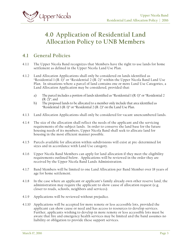<span id="page-8-0"></span>

# **4.0 Application of Residential Land Allocation Policy to UNB Members**

### <span id="page-8-1"></span>**4.1 General Policies**

- 4.1.1 The Upper Nicola Band recognizes that Members have the right to use lands for home settlement as defined in the Upper Nicola Land Use Plan.
- 4.1.2 Land Allocation Applications shall only be considered on lands identified as "Residential 1  $(R-I)$ " or "Residential 2  $(R-2)$ " within the Upper Nicola Band Land Use Plan. In situations where a parcel of land contains one or more Land Use Categories, a Land Allocation Application may be considered, provided that:
	- a) The parcel includes a portion of lands identified as "Residential 1 (R-1)" or "Residential 2 (R-2)"; and
	- b) The proposed lands to be allocated to a member only include that area identified as "Residential 1 ( $R-1$ )" or "Residential 2 ( $R-2$ )" on the Land Use Plan.
- 4.1.3 Land Allocation Applications shall only be considered for vacant unencumbered lands.
- 4.1.4 The size of the allocation shall reflect the needs of the applicant and the servicing requirements of the subject lands. In order to conserve the land base for the future housing needs of its members, Upper Nicola Band shall seek to allocate land for housing in the most efficient manner possible.
- 4.1.5 Parcels available for allocation within subdivisions will exist at pre -determined lot sizes and in accordance with Land Use category.
- 4.1.6 Upper Nicola Band Members can apply for land allocation if they meet the eligibility requirements outlined below. Applications will be reviewed in the order they are received by the Upper Nicola Band Lands Administration.
- 4.1.7 Band Members will be limited to one Land Allocation per Band Member over 18 years of age for home settlement.
- 4.1.8 In the case where an applicant or applicant's family already own other reserve land, the administration may require the applicant to show cause of allocation request (e.g. closer to roads, schools, neighbors and services).
- 4.1.9 Applications will be reviewed without prejudice.
- 4.1.10 Applications will be accepted for more remote or less accessible lots, provided the applicant can show cause or need and has access to resources to develop services. Further, applicants wishing to develop in more remote or less accessible lots must be aware that fire and emergency health services may be limited and the band assumes no liability or obligation to provide these support services.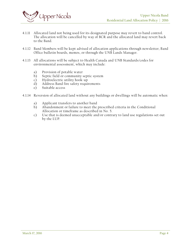

- 4.1.11 Allocated land not being used for its designated purpose may revert to band control. The allocation will be cancelled by way of BCR and the allocated land may revert back to the Band.
- 4.1.12 Band Members will be kept advised of allocation applications through newsletter, Band Office bulletin boards, memos, or through the UNB Lands Manager.
- 4.1.13 All allocations will be subject to Health Canada and UNB Standards/codes for environmental assessment, which may include:
	- a) Provision of potable water
	- b) Septic field or community septic system
	- c) Hydroelectric utility hook-up
	- d) Address Band fire safety requirements
	- e) Suitable access
- 4.1.14 Reversion of allocated land without any buildings or dwellings will be automatic when:
	- a) Applicant transfers to another band
	- b) Abandonment or failure to meet the prescribed criteria in the Conditional Allocation or timeframe as described in No. 5.
	- c) Use that is deemed unacceptable and/or contrary to land use regulations set out by the LUP.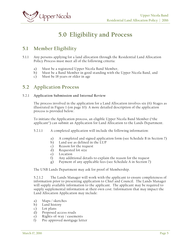<span id="page-10-0"></span>

# **5.0 Eligibility and Process**

### <span id="page-10-1"></span>**5.1 Member Eligibility**

- 5.1.1 Any persons applying for a land allocation through the Residential Land Allocation Policy Process must meet all of the following criteria:
	- a) Must be a registered Upper Nicola Band Member,
	- b) Must be a Band Member in good standing with the Upper Nicola Band, and
	- c) Must be 18 years or older in age

### <span id="page-10-2"></span>**5.2 Application Process**

#### 5.2.1 **Application Submission and Internal Review**

The process involved in the application for a Land Allocation involves six (6) Stages as illustrated in Figure 1 (on page 10). A more detailed description of the application process is provided below.

To initiate the Application process, an eligible Upper Nicola Band Member ("the applicant") can submit an Application for Land Allocation to the Lands Department.

- 5.2.1.1 A completed application will include the following information:
	- a) A completed and signed application form (see Schedule B in Section 7)
	- b) Land use as defined in the LUP
	- c) Reason for the request
	- d) Requested lot size
	- e) Location
	- f) Any additional details to explain the reason for the request
	- g) Payment of any applicable fees (see Schedule A in Section 7)

The UNB Lands Department may ask for proof of Membership.

5.2.1.2 The Lands Manager will work with the applicant to ensure completeness of information prior to presenting application to Chief and Council. The Lands Manager will supply available information to the applicant. The applicant may be required to supply supplemental information at their own cost. Information that may impact the Land Allocation Application may include:

- a) Maps / sketches
- b) Land history
- c) Lot plans
- d) Proposed access roads
- e) Rights-of-way / easements
- f) Pre-approved mortgage letter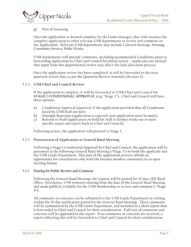

#### g) Plan of financing

Once the application is deemed complete by the Lands Manager, they will circulate the complete application to other relevant UNB departments to review and comment on the Application. Relevant UNB departments may include Cultural Heritage, Housing, Community Services, Public Works.

UNB departments will provide comments, including recommended Conditions prior to forwarding application to Chief and Council for initial review. Applicants are advised that input from this departmental review may affect the land allocation process.

Once the application review has been completed, it will be forwarded to the next quarterly review date as per the Quarterly Review Schedule (Section 5).

#### 5.2.2. **UNB Chief and Council Review**

If the application is complete, it will be forwarded to UNB Chief and Council for **STAGE 1 CONDITIONAL APPROVAL** (e.g. "Stage 2"). Chief and Council will have three options:

- a) Conditional Approval (approval of the application provided that all Conditions listed by UNB Staff are met)
- b) Outright Rejection (application is rejected, new application must be made)
- c) Referral to Staff (application on hold for staff to further study one or more specific issues and report back to Chief and Council)

Following review, the application will proceed to Stage 3.

#### 5.2.3 **Presentation of Application at General Band Meeting**

Following a Stage 1 Conditional Approval by Chief and Council, the application will be presented at the following General Band Meeting ("Stage 3") by both the applicant and the UNB Lands Department. This part of the application process affords an opportunity for consultation only with the broader member community in an open meeting format.

#### 5.2.4 **Posting for Public Review and Comment**

Following the General Band Meeting, the request will be posted for 30 days (DL Band Office, Newsletter, UNB website) starting from the date of the General Band Meeting and made publicly available for the UNB Membership to review and comment ( "Stage 4").

All comments or concerns can be submitted to the UNB Lands Department in writing within the 30 day notification period for the General Band Meeting. These comments will be summarized by the UNB Lands Department, and included in a short report that is forwarded to Chief and Council for their consideration. Full text of comments and concerns will be appended to the report. If no comments or concerns are received, a report reflecting this will be forwarded to Chief and Council for their consideration.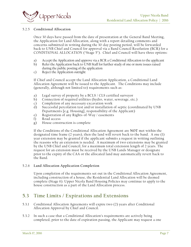

#### 5.2.5 **Conditional Allocation**

Once 30 days have passed from the date of presentation at the General Band Meeting, the Application for Land Allocation, along with a report detailing comments and concerns submitted in writing during the 30-day posting period, will be forwarded back to UNB Chief and Council for approval via a Band Council Resolution (BCR) for a CONDITIONAL ALLOCATION ("Stage 5"). Chief and Council will have three options:

- a) Accept the Application and approve via a BCR a Conditional Allocation to the applicant
- b) Refer the Application back to UNB Staff for further study of one or more issues raised during the public posting of the application
- c) Reject the Application outright

If Chief and Council accept the Land Allocation Application, a Conditional Land Allocation Agreement will be issued to the Applicant. The Conditions may include (generally, although not limited to) requirements such as:

- a) Legal survey of property by a BCLS / CLS certified surveyor
- b) Connection of required utilities (hydro, water, sewerage, etc.)
- c) Completion of any necessary excavation work
- d) Successful percolation test and/or installation of septic (coordinated by UNB Departments [e.g. Housing], responsibility of the Applicant)
- e) Registration of any Rights-of-Way / easements
- f) Road access
- g) House construction is complete

If the Conditions of the Conditional Allocation Agreement are **NOT** met within the designated time frame (2 years), then the land will revert back to the band. A one (1) year extension may be granted if the applicant submits a request in writing outlining the reasons why an extension is needed. A maximum of two extensions may be granted by the UNB Chief and Council, for a maximum total extension length of 2 years. The request for an extension must be received by the UNB Lands Manager or designate prior to the expiry of the CAA or the allocated land may automatically revert back to the Band.

#### 5.2.6 **Land Allocation Application Completion**

Upon completion of the requirements set out in the Conditional Allocation Agreement, including construction of a house, the Residential Land Allocation will be deemed complete (Stage 6). Upper Nicola Band Housing Policies may continue to apply to the house construction as a part of the Land Allocation process.

### <span id="page-12-0"></span>**5.3 Time Limits / Expirations and Extensions**

- 5.3.1 Conditional Allocation Agreements will expire two (2) years after Conditional Allocation Approval by Chief and Council.
- 5.3.2 In such a case that a Conditional Allocation's requirements are actively being completed, prior to the date of expiration passing, the Applicant may request a one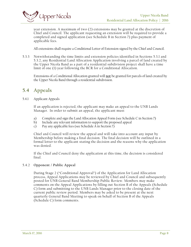year extension. A maximum of two (2) extensions may be granted at the discretion of Chief and Council. The applicant requesting an extension will be required to provide a completed and signed application (see Schedule B in Section 7) plus payment of applicable fees.

All extensions shall require a Conditional Letter of Extension signed by the Chief and Council.

5.3.3 Notwithstanding the time limits and extension policies identified in Sections 5.3.1 and 5.3.2, any Residential Land Allocation Application involving a parcel of land created by the Upper Nicola Band as a part of a residential subdivision project shall have a time limit of one (1) year following the BCR for a Conditional Allocation.

Extensions of a Conditional Allocation granted will **not** be granted for parcels of land created by the Upper Nicola Band through a residential subdivision.

### <span id="page-13-0"></span>**5.4 Appeals**

5.4.1 Applicant Appeals

If an application is rejected, the applicant may make an appeal to the UNB Lands Manager. In order to submit an appeal, the applicant must:

- a) Complete and sign the Land Allocation Appeal Form (see Schedule C in Section 7)
- b) Include any relevant information to support the proposed appeal
- c) Pay any applicable fees (see Schedule A in Section 7)

Chief and Council will review the appeal and will take into account any input by Membership before making a final decision. The final decision will be outlined in a formal letter to the applicant stating the decision and the reasons why the application was denied.

If the Chief and Council deny the application at this time, the decision is considered final.

#### 5.4.2 **Opponent / Public Appeal**

During Stage 2 ("Conditional Approval") of the Application for Land Allocation process, Appeal Applications may be reviewed by Chief and Council and subsequently posted for UNB General Band Membership Public Review. Members may make comments on the Appeal Applications by filling out Section B of the Appeals (Schedule C) form and submitting to the UNB Lands Manager prior to the closing date of the current public review period. Members may be asked to be present at the next quarterly General Band Meeting to speak on behalf of Section B of the Appeals (Schedule C) form comments.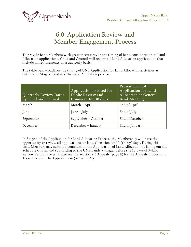<span id="page-14-0"></span>

# **6.0 Application Review and Member Engagement Process**

To provide Band Members with greater certainty in the timing of Band consideration of Land Allocation applications, Chief and Council will review all Land Allocation applications that include all requirements on a quarterly basis.

The table below outlines the timing of UNB Application for Land Allocation activities as outlined in Stages 3 and 4 of the Land Allocation process.

| Quarterly Review Dates<br>by Chief and Council | Applications Posted for<br>Public Review and<br>Comment for 30 days | Presentation of<br>Application for Land<br>Allocation at General<br><b>Band Meeting</b> |
|------------------------------------------------|---------------------------------------------------------------------|-----------------------------------------------------------------------------------------|
| March                                          | March - April                                                       | End of April                                                                            |
| June                                           | June – July                                                         | End of July                                                                             |
| September                                      | September - October                                                 | End of October                                                                          |
| December                                       | December - January                                                  | End of January                                                                          |

In Stage 4 of the Application for Land Allocation Process, the Membership will have the opportunity to review all applications for land allocation for 30 (thirty) days. During this time, Members may submit a comment on the Application of Land Allocation by filling out the Schedule C form and submitting to the UNB Lands Manager before the 30 days of Public Review Period is over. Please see the Section 4.5 Appeals (page 8) for the Appeals process and Appendix B for the Appeals form (Schedule C).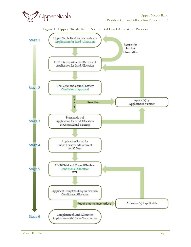

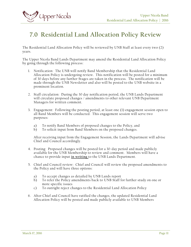

# <span id="page-16-0"></span>**7.0 Residential Land Allocation Policy Review**

The Residential Land Allocation Policy will be reviewed by UNB Staff at least every two (2) years.

The Upper Nicola Band Lands Department may amend the Residential Land Allocation Policy by going through the following process:

- 1. Notification: The UNB will notify Band Membership that the Residential Land Allocation Policy is undergoing review. This notification will be posted for a minimum of 30 days before any further Stages are taken in the process. The notification will be made through the UNB Newsletter and also will be posted to the UNB website in a prominent location.
- 2. Staff circulation: During the 30 day notification period, the UNB Lands Department will circulate proposed changes / amendments to other relevant UNB Department Managers for written comment.
- 3. Engagement: Following the posting period, at least one (1) engagement session open to all Band Members will be conducted. This engagement session will serve two purposes:
	- a) To notify Band Members of proposed changes to the Policy, and
	- b) To solicit input from Band Members on the proposed changes.

After receiving input from the Engagement Session, the Lands Department will advise Chief and Council accordingly.

- 4. Posting: Proposed changes will be posted for a 30-day period and made publicly available for the UNB Membership to review and comment. Members will have a chance to provide input **in writing** to the UNB Lands Department.
- 5. Chief and Council review: Chief and Council will review the proposed amendments to the Policy and will have three options:
	- a) To accept changes as detailed by UNB Lands report
	- b) To refer the Policy amendments back to UNB Staff for further study on one or more specific issues
	- c) To outright reject changes to the Residential Land Allocation Policy
- 6. After Chief and Council have ratified the changes, the updated Residential Land Allocation Policy will be posted and made publicly available to UNB Members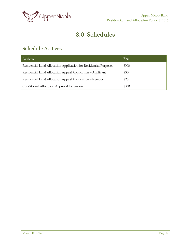

# **8.0 Schedules**

### <span id="page-17-1"></span><span id="page-17-0"></span>**Schedule A: Fees**

| Activity                                                         | Fee   |
|------------------------------------------------------------------|-------|
| Residential Land Allocation Application for Residential Purposes | \$100 |
| Residential Land Allocation Appeal Application - Applicant       | \$50  |
| Residential Land Allocation Appeal Application -Member           | \$25  |
| Conditional Allocation Approval Extension                        | \$100 |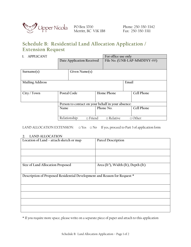

PO Box 3700 Merritt, BC V1K 1B8

Phone: 250-350-3342 Fax: 250-350-3311

### <span id="page-18-0"></span>**Schedule B: Residential Land Allocation Application / Extension Request**

#### **1. APPLICANT For office use only**

|                                                                    | File No. (UNB-LAP-MMDDYY-##) |                           |                         |                       |
|--------------------------------------------------------------------|------------------------------|---------------------------|-------------------------|-----------------------|
|                                                                    |                              |                           |                         |                       |
|                                                                    |                              |                           |                         |                       |
| Given Name(s)                                                      |                              |                           |                         |                       |
|                                                                    |                              |                           |                         |                       |
|                                                                    |                              |                           |                         |                       |
|                                                                    |                              |                           | Email                   |                       |
|                                                                    |                              |                           |                         |                       |
|                                                                    |                              |                           |                         |                       |
| Postal Code                                                        |                              |                           |                         | Cell Phone            |
|                                                                    |                              |                           |                         |                       |
|                                                                    |                              |                           |                         |                       |
| Person to contact on your behalf in your absence:                  |                              |                           |                         |                       |
| Name                                                               |                              |                           |                         | Cell Phone            |
|                                                                    |                              |                           |                         |                       |
|                                                                    |                              |                           |                         |                       |
| Relationship:<br>$\Box$ Friend<br>$\Box$ Relative<br>$\Box$ Other: |                              |                           |                         |                       |
|                                                                    |                              | Date Application Received | Home Phone<br>Phone No. | T'OI OILICE USE OILIV |

LAND ALLOCATION EXTENSION:  $\square$  Yes  $\square$  No If yes, proceed to Part 3 of application form

#### **2. LAND ALLOCATION**

| Location of Land - attach sketch or map                                  | Parcel Description                              |  |  |  |
|--------------------------------------------------------------------------|-------------------------------------------------|--|--|--|
|                                                                          |                                                 |  |  |  |
| Size of Land Allocation Proposed                                         | Area (ft <sup>2</sup> ), Width (ft), Depth (ft) |  |  |  |
|                                                                          |                                                 |  |  |  |
| Description of Proposed Residential Development and Reason for Request * |                                                 |  |  |  |
|                                                                          |                                                 |  |  |  |
|                                                                          |                                                 |  |  |  |
|                                                                          |                                                 |  |  |  |
|                                                                          |                                                 |  |  |  |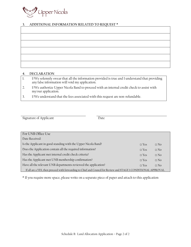

#### **3. ADDITIONAL INFORMATION RELATED TO REQUEST \***

#### **4. DECLARATION**

| I/We solemnly swear that all the information provided is true and I understand that providing |
|-----------------------------------------------------------------------------------------------|
| any false information will void my application.                                               |

- 2. I/We authorize Upper Nicola Band to proceed with an internal credit check to assist with my/our application.
- 3. I/We understand that the fees associated with this request are non-refundable.

| Signature of Applicant | Date |
|------------------------|------|
|------------------------|------|

| For UNB Office Use                                                                                               |              |           |  |
|------------------------------------------------------------------------------------------------------------------|--------------|-----------|--|
| Date Received:                                                                                                   |              |           |  |
| Is the Applicant in good standing with the Upper Nicola Band?                                                    | $\Box$ Yes   | $\Box$ No |  |
| Does the Application contain all the required information?                                                       | $\sqcap$ Yes | $\Box$ No |  |
| Has the Applicant met internal credit check criteria?                                                            |              | $\Box$ No |  |
| Has the Applicant met UNB membership confirmation?                                                               |              | $\Box$ No |  |
| Have all the relevant UNB departments reviewed the application?                                                  |              | $\Box$ No |  |
| If all are a YES, then proceed with forwarding to Chief and Council for Review and STAGE 1 CONDITIONAL APPROVAL. |              |           |  |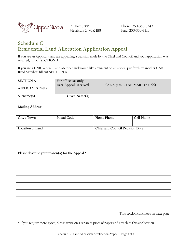

Merritt, BC V1K 1B8

Phone: 250-350-3342 Fax: 250-350-3311

### <span id="page-20-0"></span>**Schedule C: Residential Land Allocation Application Appeal**

If you are an Applicant and are appealing a decision made by the Chief and Council and your application was rejected, fill out **SECTION A**.

If you are a UNB General Band Member and would like comment on an appeal put forth by another UNB Band Member, fill out **SECTION B**.

| <b>SECTION A</b>                                | For office use only |                           |                                 |            |                                     |  |
|-------------------------------------------------|---------------------|---------------------------|---------------------------------|------------|-------------------------------------|--|
| <b>APPLICANTS ONLY</b>                          |                     | Date Appeal Received      |                                 |            | File No. (UNB-LAP-MMDDYY-##)        |  |
| Surname(s)                                      |                     | Given Name(s)             |                                 |            |                                     |  |
| <b>Mailing Address</b>                          |                     |                           |                                 |            |                                     |  |
| City / Town                                     |                     | Postal Code<br>Home Phone |                                 | Cell Phone |                                     |  |
| Location of Land                                |                     |                           | Chief and Council Decision Date |            |                                     |  |
|                                                 |                     |                           |                                 |            |                                     |  |
| Please describe your reason(s) for the Appeal * |                     |                           |                                 |            |                                     |  |
|                                                 |                     |                           |                                 |            |                                     |  |
|                                                 |                     |                           |                                 |            |                                     |  |
|                                                 |                     |                           |                                 |            |                                     |  |
|                                                 |                     |                           |                                 |            |                                     |  |
|                                                 |                     |                           |                                 |            |                                     |  |
|                                                 |                     |                           |                                 |            |                                     |  |
|                                                 |                     |                           |                                 |            | This section continues on next page |  |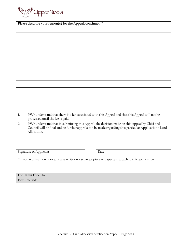

**Please describe your reason(s) for the Appeal, continued \***

1. I/We understand that there is a fee associated with this Appeal and that this Appeal will not be processed until the fee is paid.

2. I/We understand that in submitting this Appeal, the decision made on this Appeal by Chief and Council will be final and no further appeals can be made regarding this particular Application / Land Allocation.

Signature of Applicant Date

\* If you require more space, please write on a separate piece of paper and attach to this application

For UNB Office Use Date Received: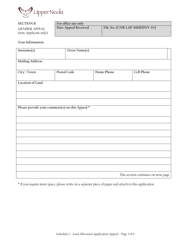

#### **SECTION B For office use only**<br>**Date Appeal Received** MEMBER APPEAL (non-Applicant only) File No. (UNB-LAP-MMDDYY-##)

#### **Your Information**

| Surname(s)                                      |             | Given Name(s) |                                     |  |
|-------------------------------------------------|-------------|---------------|-------------------------------------|--|
| <b>Mailing Address</b>                          |             |               |                                     |  |
|                                                 |             |               |                                     |  |
| City / Town                                     | Postal Code | Home Phone    | Cell Phone                          |  |
| Location of Land                                |             |               |                                     |  |
|                                                 |             |               |                                     |  |
|                                                 |             |               |                                     |  |
|                                                 |             |               |                                     |  |
|                                                 |             |               |                                     |  |
| Please provide your comment(s) on this Appeal * |             |               |                                     |  |
|                                                 |             |               |                                     |  |
|                                                 |             |               |                                     |  |
|                                                 |             |               |                                     |  |
|                                                 |             |               |                                     |  |
|                                                 |             |               |                                     |  |
|                                                 |             |               |                                     |  |
|                                                 |             |               |                                     |  |
|                                                 |             |               |                                     |  |
|                                                 |             |               |                                     |  |
|                                                 |             |               | This section continues on next page |  |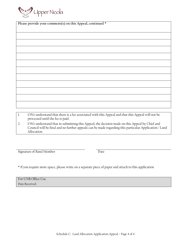

**Please provide your comment(s) on this Appeal, continued \***

1. I/We understand that there is a fee associated with this Appeal and that this Appeal will not be processed until the fee is paid.

2. I/We understand that in submitting this Appeal, the decision made on this Appeal by Chief and Council will be final and no further appeals can be made regarding this particular Application / Land Allocation.

Signature of Band Member Date

| For UNB Office Use |  |
|--------------------|--|
| Date Received:     |  |